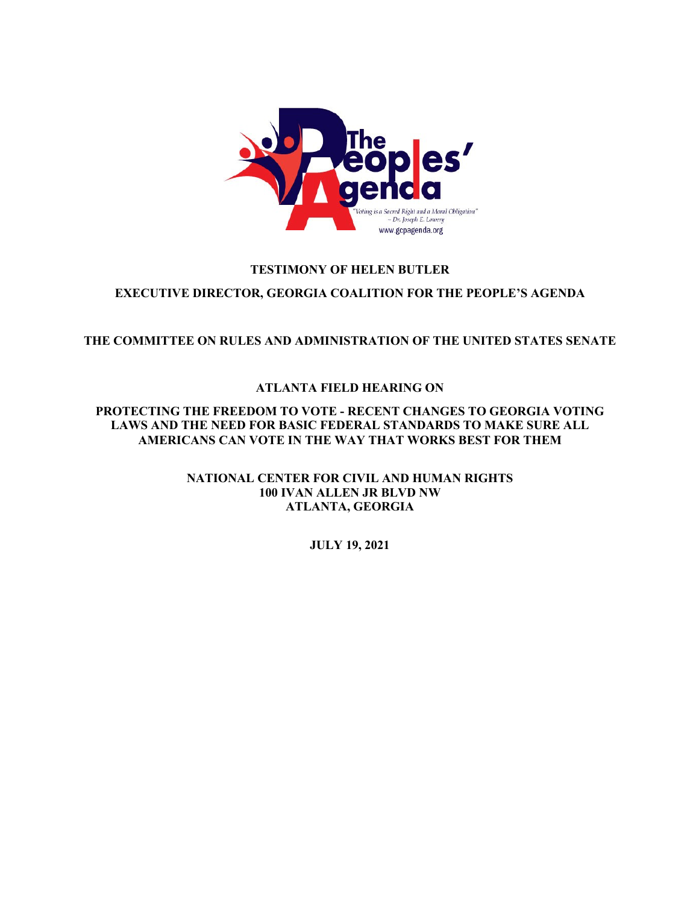

### **TESTIMONY OF HELEN BUTLER**

### **EXECUTIVE DIRECTOR, GEORGIA COALITION FOR THE PEOPLE'S AGENDA**

### **THE COMMITTEE ON RULES AND ADMINISTRATION OF THE UNITED STATES SENATE**

# **ATLANTA FIELD HEARING ON**

**PROTECTING THE FREEDOM TO VOTE - RECENT CHANGES TO GEORGIA VOTING LAWS AND THE NEED FOR BASIC FEDERAL STANDARDS TO MAKE SURE ALL AMERICANS CAN VOTE IN THE WAY THAT WORKS BEST FOR THEM**

> **NATIONAL CENTER FOR CIVIL AND HUMAN RIGHTS 100 IVAN ALLEN JR BLVD NW ATLANTA, GEORGIA**

> > **JULY 19, 2021**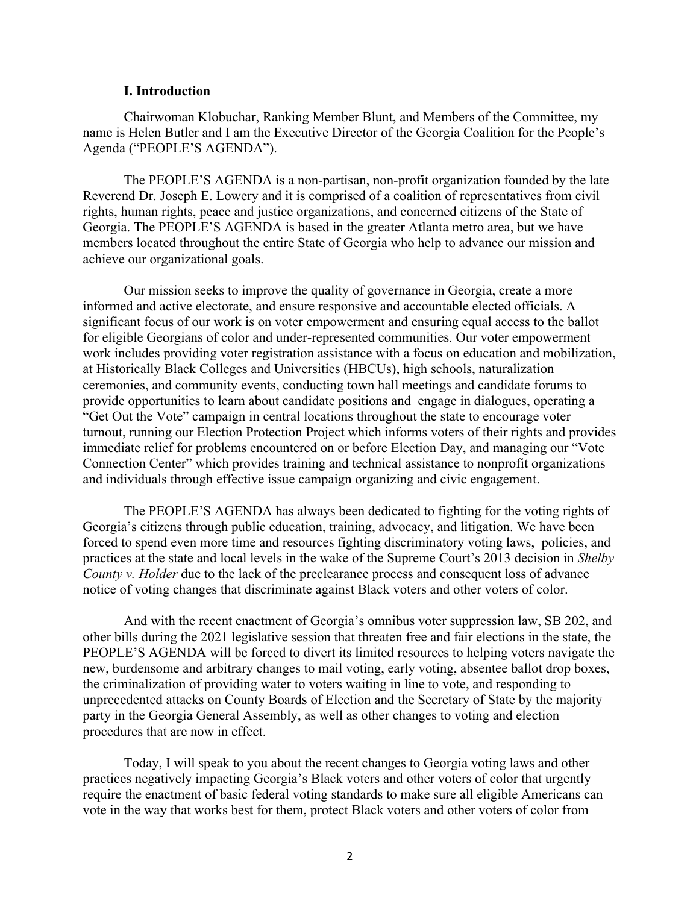#### **I. Introduction**

Chairwoman Klobuchar, Ranking Member Blunt, and Members of the Committee, my name is Helen Butler and I am the Executive Director of the Georgia Coalition for the People's Agenda ("PEOPLE'S AGENDA").

The PEOPLE'S AGENDA is a non-partisan, non-profit organization founded by the late Reverend Dr. Joseph E. Lowery and it is comprised of a coalition of representatives from civil rights, human rights, peace and justice organizations, and concerned citizens of the State of Georgia. The PEOPLE'S AGENDA is based in the greater Atlanta metro area, but we have members located throughout the entire State of Georgia who help to advance our mission and achieve our organizational goals.

Our mission seeks to improve the quality of governance in Georgia, create a more informed and active electorate, and ensure responsive and accountable elected officials. A significant focus of our work is on voter empowerment and ensuring equal access to the ballot for eligible Georgians of color and under-represented communities. Our voter empowerment work includes providing voter registration assistance with a focus on education and mobilization, at Historically Black Colleges and Universities (HBCUs), high schools, naturalization ceremonies, and community events, conducting town hall meetings and candidate forums to provide opportunities to learn about candidate positions and engage in dialogues, operating a "Get Out the Vote" campaign in central locations throughout the state to encourage voter turnout, running our Election Protection Project which informs voters of their rights and provides immediate relief for problems encountered on or before Election Day, and managing our "Vote Connection Center" which provides training and technical assistance to nonprofit organizations and individuals through effective issue campaign organizing and civic engagement.

The PEOPLE'S AGENDA has always been dedicated to fighting for the voting rights of Georgia's citizens through public education, training, advocacy, and litigation. We have been forced to spend even more time and resources fighting discriminatory voting laws, policies, and practices at the state and local levels in the wake of the Supreme Court's 2013 decision in *Shelby County v. Holder* due to the lack of the preclearance process and consequent loss of advance notice of voting changes that discriminate against Black voters and other voters of color.

And with the recent enactment of Georgia's omnibus voter suppression law, SB 202, and other bills during the 2021 legislative session that threaten free and fair elections in the state, the PEOPLE'S AGENDA will be forced to divert its limited resources to helping voters navigate the new, burdensome and arbitrary changes to mail voting, early voting, absentee ballot drop boxes, the criminalization of providing water to voters waiting in line to vote, and responding to unprecedented attacks on County Boards of Election and the Secretary of State by the majority party in the Georgia General Assembly, as well as other changes to voting and election procedures that are now in effect.

Today, I will speak to you about the recent changes to Georgia voting laws and other practices negatively impacting Georgia's Black voters and other voters of color that urgently require the enactment of basic federal voting standards to make sure all eligible Americans can vote in the way that works best for them, protect Black voters and other voters of color from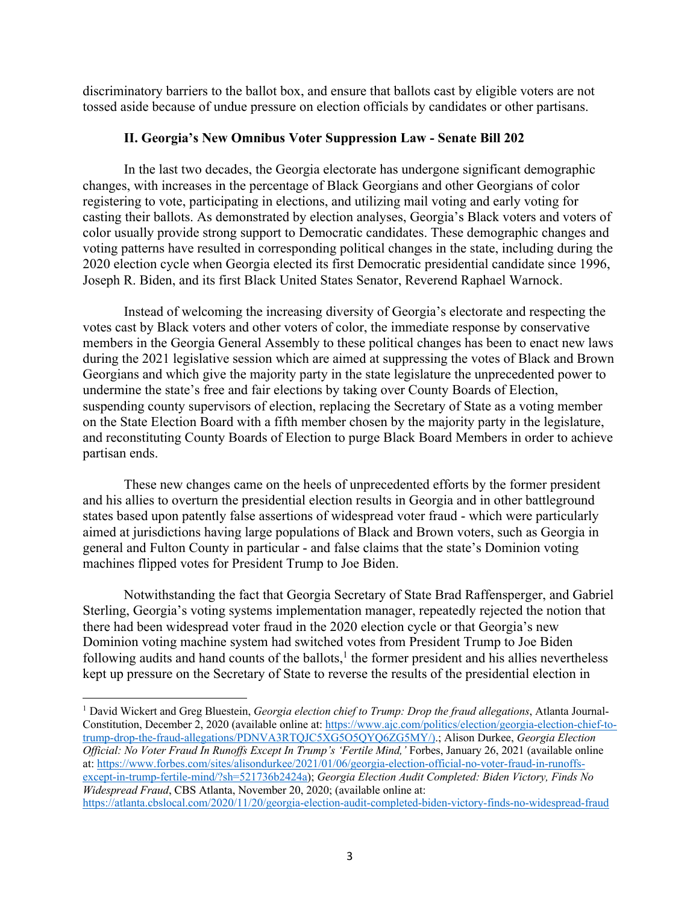discriminatory barriers to the ballot box, and ensure that ballots cast by eligible voters are not tossed aside because of undue pressure on election officials by candidates or other partisans.

# **II. Georgia's New Omnibus Voter Suppression Law - Senate Bill 202**

In the last two decades, the Georgia electorate has undergone significant demographic changes, with increases in the percentage of Black Georgians and other Georgians of color registering to vote, participating in elections, and utilizing mail voting and early voting for casting their ballots. As demonstrated by election analyses, Georgia's Black voters and voters of color usually provide strong support to Democratic candidates. These demographic changes and voting patterns have resulted in corresponding political changes in the state, including during the 2020 election cycle when Georgia elected its first Democratic presidential candidate since 1996, Joseph R. Biden, and its first Black United States Senator, Reverend Raphael Warnock.

Instead of welcoming the increasing diversity of Georgia's electorate and respecting the votes cast by Black voters and other voters of color, the immediate response by conservative members in the Georgia General Assembly to these political changes has been to enact new laws during the 2021 legislative session which are aimed at suppressing the votes of Black and Brown Georgians and which give the majority party in the state legislature the unprecedented power to undermine the state's free and fair elections by taking over County Boards of Election, suspending county supervisors of election, replacing the Secretary of State as a voting member on the State Election Board with a fifth member chosen by the majority party in the legislature, and reconstituting County Boards of Election to purge Black Board Members in order to achieve partisan ends.

These new changes came on the heels of unprecedented efforts by the former president and his allies to overturn the presidential election results in Georgia and in other battleground states based upon patently false assertions of widespread voter fraud - which were particularly aimed at jurisdictions having large populations of Black and Brown voters, such as Georgia in general and Fulton County in particular - and false claims that the state's Dominion voting machines flipped votes for President Trump to Joe Biden.

Notwithstanding the fact that Georgia Secretary of State Brad Raffensperger, and Gabriel Sterling, Georgia's voting systems implementation manager, repeatedly rejected the notion that there had been widespread voter fraud in the 2020 election cycle or that Georgia's new Dominion voting machine system had switched votes from President Trump to Joe Biden following audits and hand counts of the ballots, $<sup>1</sup>$  the former president and his allies nevertheless</sup> kept up pressure on the Secretary of State to reverse the results of the presidential election in

<sup>1</sup> David Wickert and Greg Bluestein, *Georgia election chief to Trump: Drop the fraud allegations*, Atlanta Journal-Constitution, December 2, 2020 (available online at: https://www.ajc.com/politics/election/georgia-election-chief-totrump-drop-the-fraud-allegations/PDNVA3RTQJC5XG5O5QYQ6ZG5MY/).; Alison Durkee, *Georgia Election Official: No Voter Fraud In Runoffs Except In Trump's 'Fertile Mind,'* Forbes, January 26, 2021 (available online at: https://www.forbes.com/sites/alisondurkee/2021/01/06/georgia-election-official-no-voter-fraud-in-runoffsexcept-in-trump-fertile-mind/?sh=521736b2424a); *Georgia Election Audit Completed: Biden Victory, Finds No Widespread Fraud*, CBS Atlanta, November 20, 2020; (available online at:

https://atlanta.cbslocal.com/2020/11/20/georgia-election-audit-completed-biden-victory-finds-no-widespread-fraud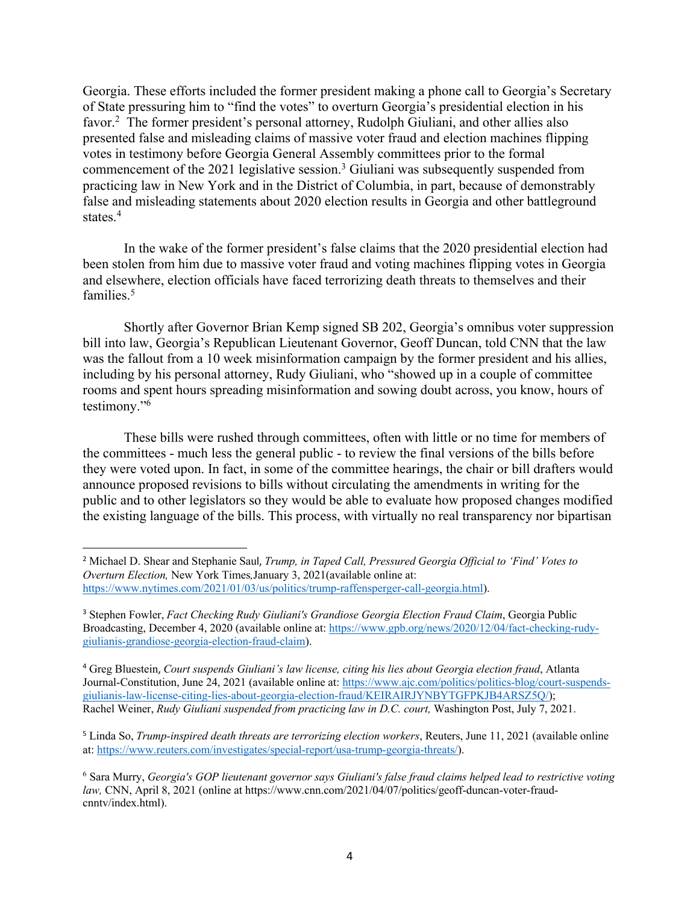Georgia. These efforts included the former president making a phone call to Georgia's Secretary of State pressuring him to "find the votes" to overturn Georgia's presidential election in his favor.<sup>2</sup> The former president's personal attorney, Rudolph Giuliani, and other allies also presented false and misleading claims of massive voter fraud and election machines flipping votes in testimony before Georgia General Assembly committees prior to the formal commencement of the 2021 legislative session.<sup>3</sup> Giuliani was subsequently suspended from practicing law in New York and in the District of Columbia, in part, because of demonstrably false and misleading statements about 2020 election results in Georgia and other battleground states.<sup>4</sup>

In the wake of the former president's false claims that the 2020 presidential election had been stolen from him due to massive voter fraud and voting machines flipping votes in Georgia and elsewhere, election officials have faced terrorizing death threats to themselves and their families.<sup>5</sup>

Shortly after Governor Brian Kemp signed SB 202, Georgia's omnibus voter suppression bill into law, Georgia's Republican Lieutenant Governor, Geoff Duncan, told CNN that the law was the fallout from a 10 week misinformation campaign by the former president and his allies, including by his personal attorney, Rudy Giuliani, who "showed up in a couple of committee rooms and spent hours spreading misinformation and sowing doubt across, you know, hours of testimony."6

These bills were rushed through committees, often with little or no time for members of the committees - much less the general public - to review the final versions of the bills before they were voted upon. In fact, in some of the committee hearings, the chair or bill drafters would announce proposed revisions to bills without circulating the amendments in writing for the public and to other legislators so they would be able to evaluate how proposed changes modified the existing language of the bills. This process, with virtually no real transparency nor bipartisan

<sup>2</sup> Michael D. Shear and Stephanie Saul, *Trump, in Taped Call, Pressured Georgia Official to 'Find' Votes to Overturn Election,* New York Times*,*January 3, 2021(available online at: https://www.nytimes.com/2021/01/03/us/politics/trump-raffensperger-call-georgia.html).

<sup>3</sup> Stephen Fowler, *Fact Checking Rudy Giuliani's Grandiose Georgia Election Fraud Claim*, Georgia Public Broadcasting, December 4, 2020 (available online at: https://www.gpb.org/news/2020/12/04/fact-checking-rudygiulianis-grandiose-georgia-election-fraud-claim).

<sup>4</sup> Greg Bluestein, *Court suspends Giuliani's law license, citing his lies about Georgia election fraud*, Atlanta Journal-Constitution, June 24, 2021 (available online at: https://www.ajc.com/politics/politics-blog/court-suspendsgiulianis-law-license-citing-lies-about-georgia-election-fraud/KEIRAIRJYNBYTGFPKJB4ARSZ5Q/); Rachel Weiner, *Rudy Giuliani suspended from practicing law in D.C. court*, Washington Post, July 7, 2021.

<sup>5</sup> Linda So, *Trump-inspired death threats are terrorizing election workers*, Reuters, June 11, 2021 (available online at: https://www.reuters.com/investigates/special-report/usa-trump-georgia-threats/).

<sup>6</sup> Sara Murry, *Georgia's GOP lieutenant governor says Giuliani's false fraud claims helped lead to restrictive voting law,* CNN, April 8, 2021 (online at https://www.cnn.com/2021/04/07/politics/geoff-duncan-voter-fraudcnntv/index.html).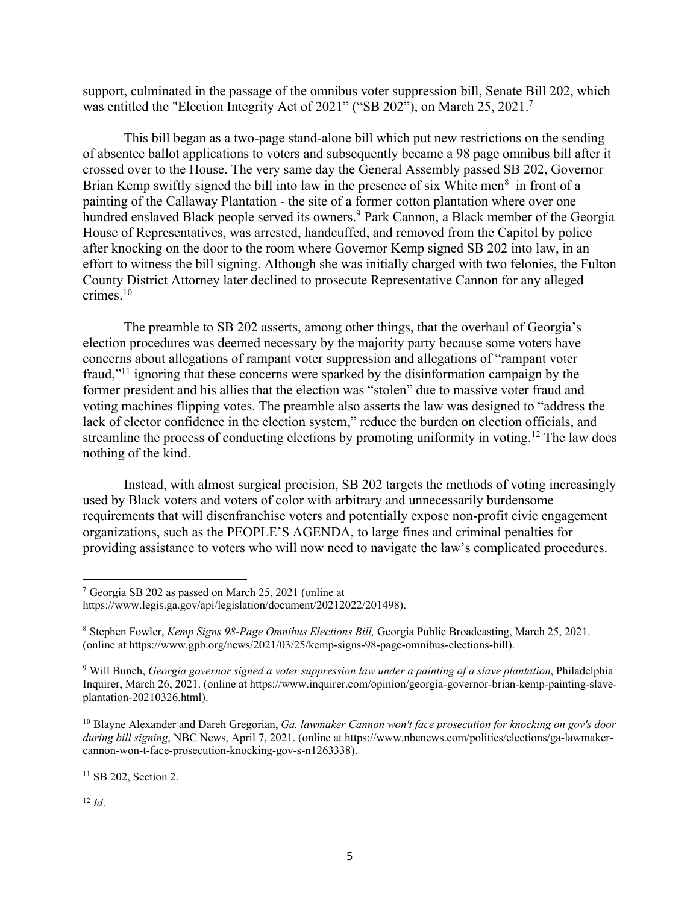support, culminated in the passage of the omnibus voter suppression bill, Senate Bill 202, which was entitled the "Election Integrity Act of 2021" ("SB 202"), on March 25, 2021.7

This bill began as a two-page stand-alone bill which put new restrictions on the sending of absentee ballot applications to voters and subsequently became a 98 page omnibus bill after it crossed over to the House. The very same day the General Assembly passed SB 202, Governor Brian Kemp swiftly signed the bill into law in the presence of six White men<sup>8</sup> in front of a painting of the Callaway Plantation - the site of a former cotton plantation where over one hundred enslaved Black people served its owners.<sup>9</sup> Park Cannon, a Black member of the Georgia House of Representatives, was arrested, handcuffed, and removed from the Capitol by police after knocking on the door to the room where Governor Kemp signed SB 202 into law, in an effort to witness the bill signing. Although she was initially charged with two felonies, the Fulton County District Attorney later declined to prosecute Representative Cannon for any alleged crimes.10

The preamble to SB 202 asserts, among other things, that the overhaul of Georgia's election procedures was deemed necessary by the majority party because some voters have concerns about allegations of rampant voter suppression and allegations of "rampant voter fraud,"11 ignoring that these concerns were sparked by the disinformation campaign by the former president and his allies that the election was "stolen" due to massive voter fraud and voting machines flipping votes. The preamble also asserts the law was designed to "address the lack of elector confidence in the election system," reduce the burden on election officials, and streamline the process of conducting elections by promoting uniformity in voting.<sup>12</sup> The law does nothing of the kind.

Instead, with almost surgical precision, SB 202 targets the methods of voting increasingly used by Black voters and voters of color with arbitrary and unnecessarily burdensome requirements that will disenfranchise voters and potentially expose non-profit civic engagement organizations, such as the PEOPLE'S AGENDA, to large fines and criminal penalties for providing assistance to voters who will now need to navigate the law's complicated procedures.

<sup>11</sup> SB 202, Section 2.

<sup>7</sup> Georgia SB 202 as passed on March 25, 2021 (online at

https://www.legis.ga.gov/api/legislation/document/20212022/201498).

<sup>8</sup> Stephen Fowler, *Kemp Signs 98-Page Omnibus Elections Bill,* Georgia Public Broadcasting, March 25, 2021. (online at https://www.gpb.org/news/2021/03/25/kemp-signs-98-page-omnibus-elections-bill).

<sup>9</sup> Will Bunch, *Georgia governor signed a voter suppression law under a painting of a slave plantation*, Philadelphia Inquirer, March 26, 2021. (online at https://www.inquirer.com/opinion/georgia-governor-brian-kemp-painting-slaveplantation-20210326.html).

<sup>10</sup> Blayne Alexander and Dareh Gregorian, *Ga. lawmaker Cannon won't face prosecution for knocking on gov's door during bill signing*, NBC News, April 7, 2021. (online at https://www.nbcnews.com/politics/elections/ga-lawmakercannon-won-t-face-prosecution-knocking-gov-s-n1263338).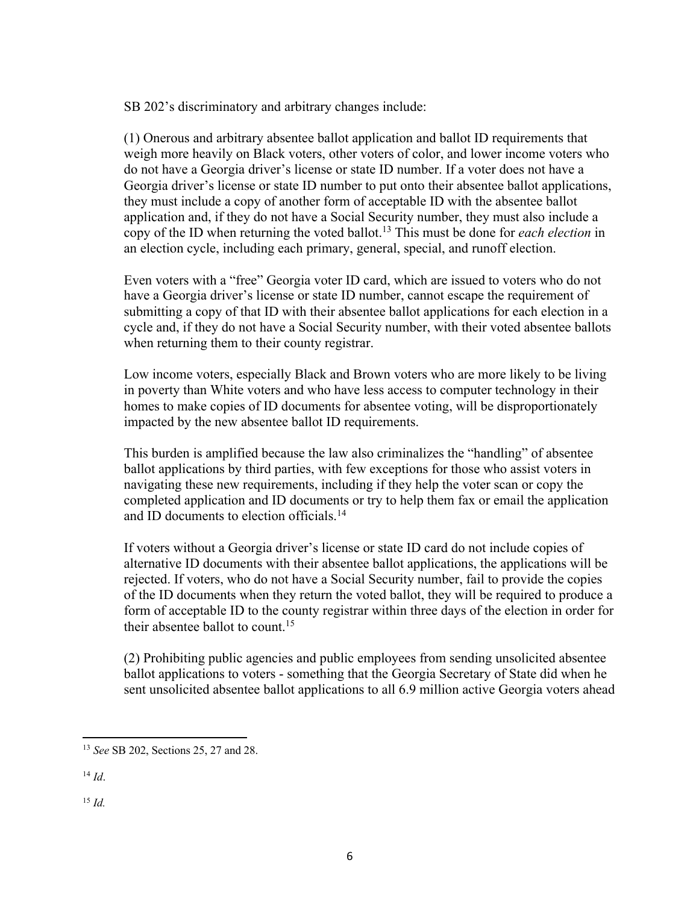SB 202's discriminatory and arbitrary changes include:

(1) Onerous and arbitrary absentee ballot application and ballot ID requirements that weigh more heavily on Black voters, other voters of color, and lower income voters who do not have a Georgia driver's license or state ID number. If a voter does not have a Georgia driver's license or state ID number to put onto their absentee ballot applications, they must include a copy of another form of acceptable ID with the absentee ballot application and, if they do not have a Social Security number, they must also include a copy of the ID when returning the voted ballot. <sup>13</sup> This must be done for *each election* in an election cycle, including each primary, general, special, and runoff election.

Even voters with a "free" Georgia voter ID card, which are issued to voters who do not have a Georgia driver's license or state ID number, cannot escape the requirement of submitting a copy of that ID with their absentee ballot applications for each election in a cycle and, if they do not have a Social Security number, with their voted absentee ballots when returning them to their county registrar.

Low income voters, especially Black and Brown voters who are more likely to be living in poverty than White voters and who have less access to computer technology in their homes to make copies of ID documents for absentee voting, will be disproportionately impacted by the new absentee ballot ID requirements.

This burden is amplified because the law also criminalizes the "handling" of absentee ballot applications by third parties, with few exceptions for those who assist voters in navigating these new requirements, including if they help the voter scan or copy the completed application and ID documents or try to help them fax or email the application and ID documents to election officials.14

If voters without a Georgia driver's license or state ID card do not include copies of alternative ID documents with their absentee ballot applications, the applications will be rejected. If voters, who do not have a Social Security number, fail to provide the copies of the ID documents when they return the voted ballot, they will be required to produce a form of acceptable ID to the county registrar within three days of the election in order for their absentee ballot to count.15

(2) Prohibiting public agencies and public employees from sending unsolicited absentee ballot applications to voters - something that the Georgia Secretary of State did when he sent unsolicited absentee ballot applications to all 6.9 million active Georgia voters ahead

<sup>13</sup> *See* SB 202, Sections 25, 27 and 28.

 $^{14}$  *Id.*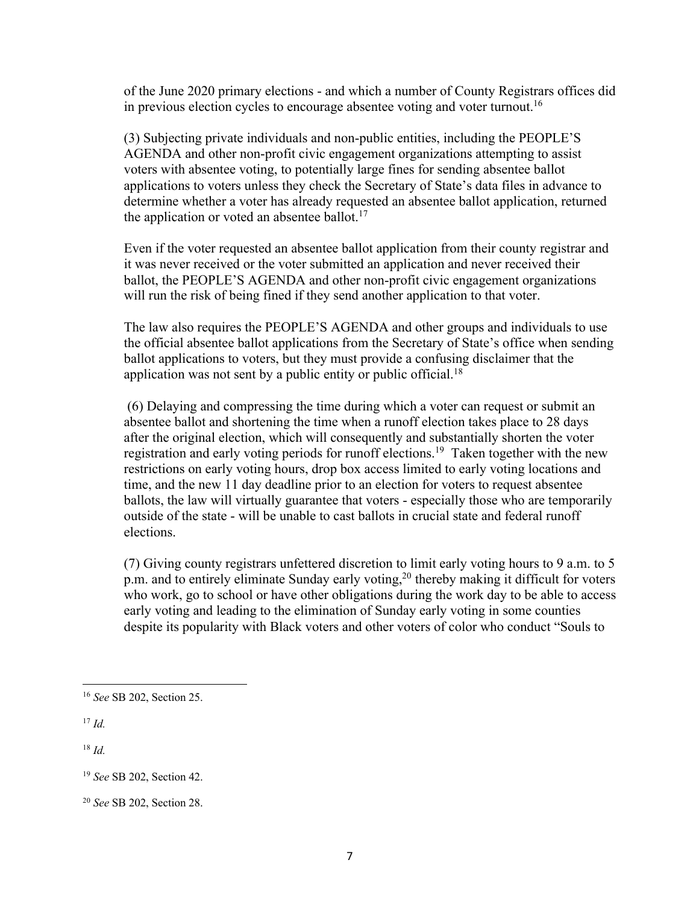of the June 2020 primary elections - and which a number of County Registrars offices did in previous election cycles to encourage absentee voting and voter turnout.<sup>16</sup>

(3) Subjecting private individuals and non-public entities, including the PEOPLE'S AGENDA and other non-profit civic engagement organizations attempting to assist voters with absentee voting, to potentially large fines for sending absentee ballot applications to voters unless they check the Secretary of State's data files in advance to determine whether a voter has already requested an absentee ballot application, returned the application or voted an absentee ballot.<sup>17</sup>

Even if the voter requested an absentee ballot application from their county registrar and it was never received or the voter submitted an application and never received their ballot, the PEOPLE'S AGENDA and other non-profit civic engagement organizations will run the risk of being fined if they send another application to that voter.

The law also requires the PEOPLE'S AGENDA and other groups and individuals to use the official absentee ballot applications from the Secretary of State's office when sending ballot applications to voters, but they must provide a confusing disclaimer that the application was not sent by a public entity or public official.18

(6) Delaying and compressing the time during which a voter can request or submit an absentee ballot and shortening the time when a runoff election takes place to 28 days after the original election, which will consequently and substantially shorten the voter registration and early voting periods for runoff elections.<sup>19</sup> Taken together with the new restrictions on early voting hours, drop box access limited to early voting locations and time, and the new 11 day deadline prior to an election for voters to request absentee ballots, the law will virtually guarantee that voters - especially those who are temporarily outside of the state - will be unable to cast ballots in crucial state and federal runoff elections.

(7) Giving county registrars unfettered discretion to limit early voting hours to 9 a.m. to 5 p.m. and to entirely eliminate Sunday early voting,<sup>20</sup> thereby making it difficult for voters who work, go to school or have other obligations during the work day to be able to access early voting and leading to the elimination of Sunday early voting in some counties despite its popularity with Black voters and other voters of color who conduct "Souls to

<sup>16</sup> *See* SB 202, Section 25.

<sup>17</sup> *Id.*

<sup>19</sup> *See* SB 202, Section 42.

<sup>20</sup> *See* SB 202, Section 28.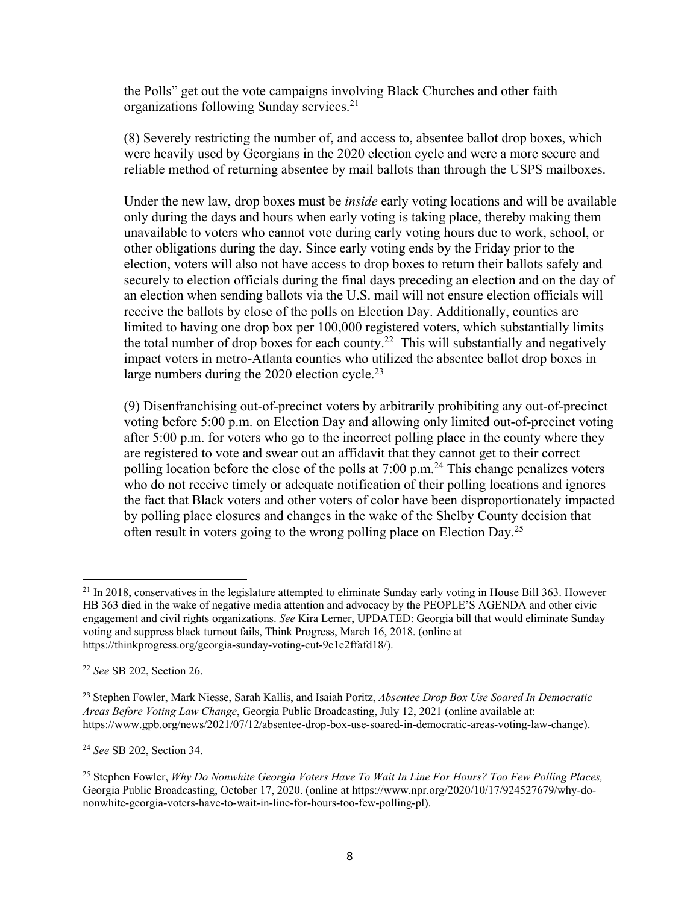the Polls" get out the vote campaigns involving Black Churches and other faith organizations following Sunday services. 21

(8) Severely restricting the number of, and access to, absentee ballot drop boxes, which were heavily used by Georgians in the 2020 election cycle and were a more secure and reliable method of returning absentee by mail ballots than through the USPS mailboxes.

Under the new law, drop boxes must be *inside* early voting locations and will be available only during the days and hours when early voting is taking place, thereby making them unavailable to voters who cannot vote during early voting hours due to work, school, or other obligations during the day. Since early voting ends by the Friday prior to the election, voters will also not have access to drop boxes to return their ballots safely and securely to election officials during the final days preceding an election and on the day of an election when sending ballots via the U.S. mail will not ensure election officials will receive the ballots by close of the polls on Election Day. Additionally, counties are limited to having one drop box per 100,000 registered voters, which substantially limits the total number of drop boxes for each county.<sup>22</sup> This will substantially and negatively impact voters in metro-Atlanta counties who utilized the absentee ballot drop boxes in large numbers during the 2020 election cycle.<sup>23</sup>

(9) Disenfranchising out-of-precinct voters by arbitrarily prohibiting any out-of-precinct voting before 5:00 p.m. on Election Day and allowing only limited out-of-precinct voting after 5:00 p.m. for voters who go to the incorrect polling place in the county where they are registered to vote and swear out an affidavit that they cannot get to their correct polling location before the close of the polls at  $7:00$  p.m.<sup>24</sup> This change penalizes voters who do not receive timely or adequate notification of their polling locations and ignores the fact that Black voters and other voters of color have been disproportionately impacted by polling place closures and changes in the wake of the Shelby County decision that often result in voters going to the wrong polling place on Election Day.<sup>25</sup>

<sup>24</sup> *See* SB 202, Section 34.

 $^{21}$  In 2018, conservatives in the legislature attempted to eliminate Sunday early voting in House Bill 363. However HB 363 died in the wake of negative media attention and advocacy by the PEOPLE'S AGENDA and other civic engagement and civil rights organizations. *See* Kira Lerner, UPDATED: Georgia bill that would eliminate Sunday voting and suppress black turnout fails, Think Progress, March 16, 2018. (online at https://thinkprogress.org/georgia-sunday-voting-cut-9c1c2ffafd18/).

<sup>22</sup> *See* SB 202, Section 26.

<sup>23</sup> Stephen Fowler, Mark Niesse, Sarah Kallis, and Isaiah Poritz, *Absentee Drop Box Use Soared In Democratic Areas Before Voting Law Change*, Georgia Public Broadcasting, July 12, 2021 (online available at: https://www.gpb.org/news/2021/07/12/absentee-drop-box-use-soared-in-democratic-areas-voting-law-change).

<sup>25</sup> Stephen Fowler, *Why Do Nonwhite Georgia Voters Have To Wait In Line For Hours? Too Few Polling Places,*  Georgia Public Broadcasting, October 17, 2020. (online at https://www.npr.org/2020/10/17/924527679/why-dononwhite-georgia-voters-have-to-wait-in-line-for-hours-too-few-polling-pl).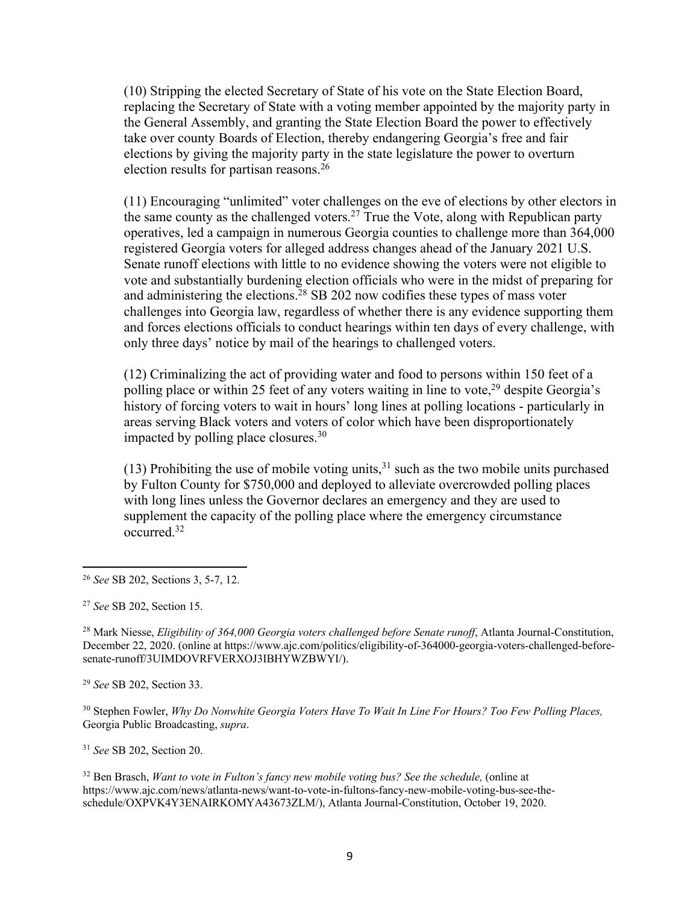(10) Stripping the elected Secretary of State of his vote on the State Election Board, replacing the Secretary of State with a voting member appointed by the majority party in the General Assembly, and granting the State Election Board the power to effectively take over county Boards of Election, thereby endangering Georgia's free and fair elections by giving the majority party in the state legislature the power to overturn election results for partisan reasons. 26

(11) Encouraging "unlimited" voter challenges on the eve of elections by other electors in the same county as the challenged voters.<sup>27</sup> True the Vote, along with Republican party operatives, led a campaign in numerous Georgia counties to challenge more than 364,000 registered Georgia voters for alleged address changes ahead of the January 2021 U.S. Senate runoff elections with little to no evidence showing the voters were not eligible to vote and substantially burdening election officials who were in the midst of preparing for and administering the elections.<sup>28</sup> SB 202 now codifies these types of mass voter challenges into Georgia law, regardless of whether there is any evidence supporting them and forces elections officials to conduct hearings within ten days of every challenge, with only three days' notice by mail of the hearings to challenged voters.

(12) Criminalizing the act of providing water and food to persons within 150 feet of a polling place or within 25 feet of any voters waiting in line to vote,<sup>29</sup> despite Georgia's history of forcing voters to wait in hours' long lines at polling locations - particularly in areas serving Black voters and voters of color which have been disproportionately impacted by polling place closures.<sup>30</sup>

 $(13)$  Prohibiting the use of mobile voting units,<sup>31</sup> such as the two mobile units purchased by Fulton County for \$750,000 and deployed to alleviate overcrowded polling places with long lines unless the Governor declares an emergency and they are used to supplement the capacity of the polling place where the emergency circumstance occurred. 32

<sup>28</sup> Mark Niesse, *Eligibility of 364,000 Georgia voters challenged before Senate runoff*, Atlanta Journal-Constitution, December 22, 2020. (online at https://www.ajc.com/politics/eligibility-of-364000-georgia-voters-challenged-beforesenate-runoff/3UIMDOVRFVERXOJ3IBHYWZBWYI/).

<sup>29</sup> *See* SB 202, Section 33.

<sup>30</sup> Stephen Fowler, *Why Do Nonwhite Georgia Voters Have To Wait In Line For Hours? Too Few Polling Places,*  Georgia Public Broadcasting, *supra*.

<sup>31</sup> *See* SB 202, Section 20.

<sup>32</sup> Ben Brasch, *Want to vote in Fulton's fancy new mobile voting bus? See the schedule,* (online at https://www.ajc.com/news/atlanta-news/want-to-vote-in-fultons-fancy-new-mobile-voting-bus-see-theschedule/OXPVK4Y3ENAIRKOMYA43673ZLM/), Atlanta Journal-Constitution, October 19, 2020.

<sup>26</sup> *See* SB 202, Sections 3, 5-7, 12.

<sup>27</sup> *See* SB 202, Section 15.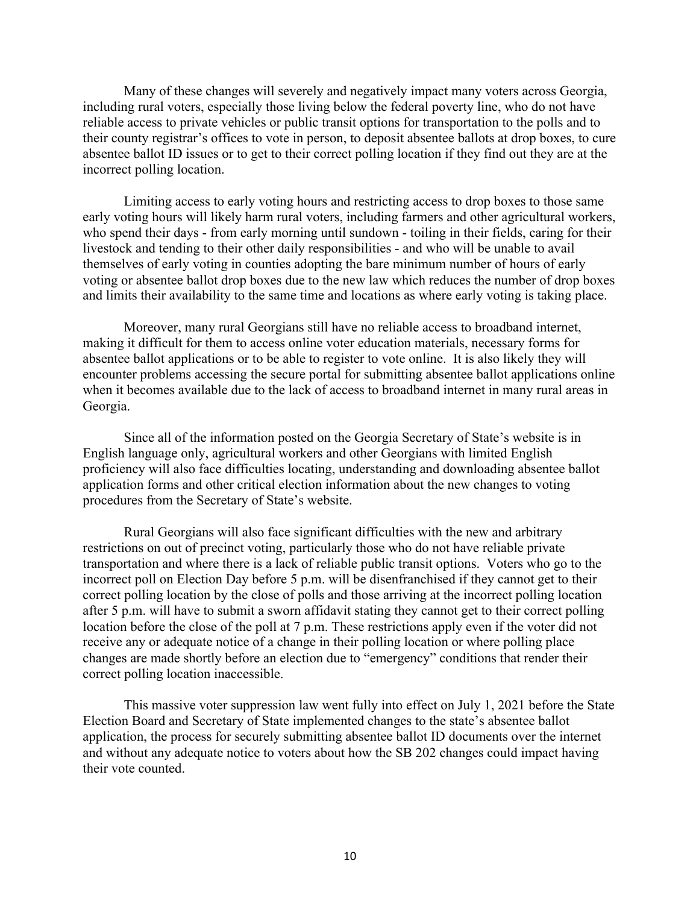Many of these changes will severely and negatively impact many voters across Georgia, including rural voters, especially those living below the federal poverty line, who do not have reliable access to private vehicles or public transit options for transportation to the polls and to their county registrar's offices to vote in person, to deposit absentee ballots at drop boxes, to cure absentee ballot ID issues or to get to their correct polling location if they find out they are at the incorrect polling location.

Limiting access to early voting hours and restricting access to drop boxes to those same early voting hours will likely harm rural voters, including farmers and other agricultural workers, who spend their days - from early morning until sundown - toiling in their fields, caring for their livestock and tending to their other daily responsibilities - and who will be unable to avail themselves of early voting in counties adopting the bare minimum number of hours of early voting or absentee ballot drop boxes due to the new law which reduces the number of drop boxes and limits their availability to the same time and locations as where early voting is taking place.

Moreover, many rural Georgians still have no reliable access to broadband internet, making it difficult for them to access online voter education materials, necessary forms for absentee ballot applications or to be able to register to vote online. It is also likely they will encounter problems accessing the secure portal for submitting absentee ballot applications online when it becomes available due to the lack of access to broadband internet in many rural areas in Georgia.

Since all of the information posted on the Georgia Secretary of State's website is in English language only, agricultural workers and other Georgians with limited English proficiency will also face difficulties locating, understanding and downloading absentee ballot application forms and other critical election information about the new changes to voting procedures from the Secretary of State's website.

Rural Georgians will also face significant difficulties with the new and arbitrary restrictions on out of precinct voting, particularly those who do not have reliable private transportation and where there is a lack of reliable public transit options. Voters who go to the incorrect poll on Election Day before 5 p.m. will be disenfranchised if they cannot get to their correct polling location by the close of polls and those arriving at the incorrect polling location after 5 p.m. will have to submit a sworn affidavit stating they cannot get to their correct polling location before the close of the poll at 7 p.m. These restrictions apply even if the voter did not receive any or adequate notice of a change in their polling location or where polling place changes are made shortly before an election due to "emergency" conditions that render their correct polling location inaccessible.

This massive voter suppression law went fully into effect on July 1, 2021 before the State Election Board and Secretary of State implemented changes to the state's absentee ballot application, the process for securely submitting absentee ballot ID documents over the internet and without any adequate notice to voters about how the SB 202 changes could impact having their vote counted.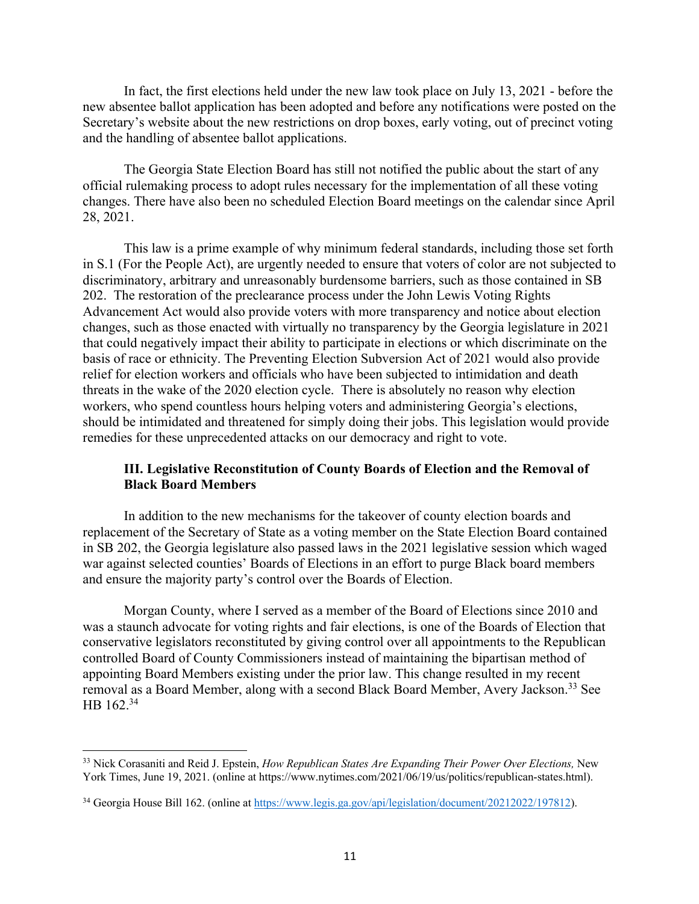In fact, the first elections held under the new law took place on July 13, 2021 - before the new absentee ballot application has been adopted and before any notifications were posted on the Secretary's website about the new restrictions on drop boxes, early voting, out of precinct voting and the handling of absentee ballot applications.

The Georgia State Election Board has still not notified the public about the start of any official rulemaking process to adopt rules necessary for the implementation of all these voting changes. There have also been no scheduled Election Board meetings on the calendar since April 28, 2021.

This law is a prime example of why minimum federal standards, including those set forth in S.1 (For the People Act), are urgently needed to ensure that voters of color are not subjected to discriminatory, arbitrary and unreasonably burdensome barriers, such as those contained in SB 202. The restoration of the preclearance process under the John Lewis Voting Rights Advancement Act would also provide voters with more transparency and notice about election changes, such as those enacted with virtually no transparency by the Georgia legislature in 2021 that could negatively impact their ability to participate in elections or which discriminate on the basis of race or ethnicity. The Preventing Election Subversion Act of 2021 would also provide relief for election workers and officials who have been subjected to intimidation and death threats in the wake of the 2020 election cycle. There is absolutely no reason why election workers, who spend countless hours helping voters and administering Georgia's elections, should be intimidated and threatened for simply doing their jobs. This legislation would provide remedies for these unprecedented attacks on our democracy and right to vote.

### **III. Legislative Reconstitution of County Boards of Election and the Removal of Black Board Members**

In addition to the new mechanisms for the takeover of county election boards and replacement of the Secretary of State as a voting member on the State Election Board contained in SB 202, the Georgia legislature also passed laws in the 2021 legislative session which waged war against selected counties' Boards of Elections in an effort to purge Black board members and ensure the majority party's control over the Boards of Election.

Morgan County, where I served as a member of the Board of Elections since 2010 and was a staunch advocate for voting rights and fair elections, is one of the Boards of Election that conservative legislators reconstituted by giving control over all appointments to the Republican controlled Board of County Commissioners instead of maintaining the bipartisan method of appointing Board Members existing under the prior law. This change resulted in my recent removal as a Board Member, along with a second Black Board Member, Avery Jackson.<sup>33</sup> See HB 162.34

<sup>33</sup> Nick Corasaniti and Reid J. Epstein, *How Republican States Are Expanding Their Power Over Elections,* New York Times, June 19, 2021. (online at https://www.nytimes.com/2021/06/19/us/politics/republican-states.html).

<sup>&</sup>lt;sup>34</sup> Georgia House Bill 162. (online at https://www.legis.ga.gov/api/legislation/document/20212022/197812).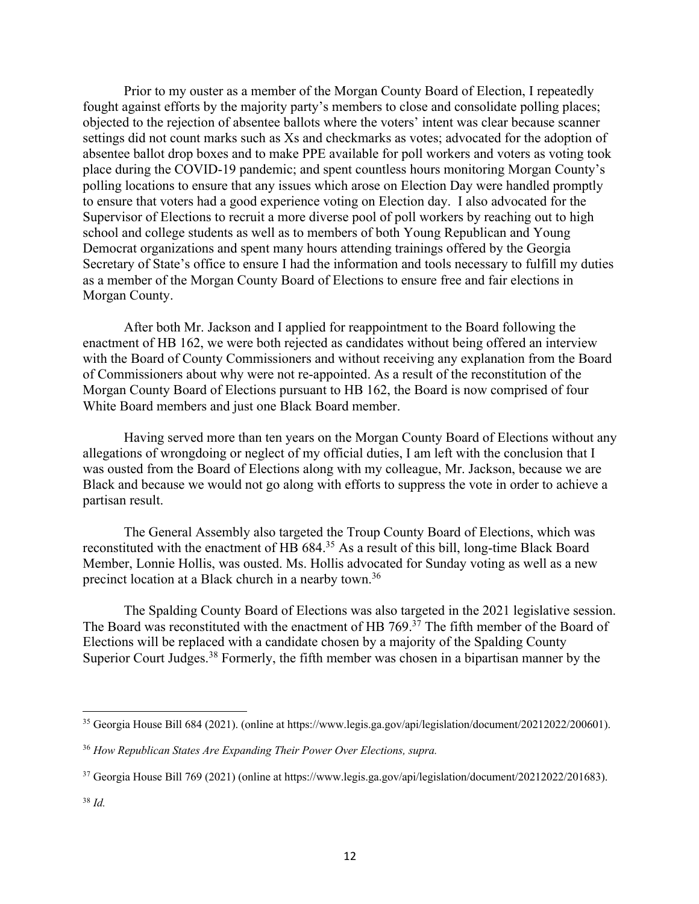Prior to my ouster as a member of the Morgan County Board of Election, I repeatedly fought against efforts by the majority party's members to close and consolidate polling places; objected to the rejection of absentee ballots where the voters' intent was clear because scanner settings did not count marks such as Xs and checkmarks as votes; advocated for the adoption of absentee ballot drop boxes and to make PPE available for poll workers and voters as voting took place during the COVID-19 pandemic; and spent countless hours monitoring Morgan County's polling locations to ensure that any issues which arose on Election Day were handled promptly to ensure that voters had a good experience voting on Election day. I also advocated for the Supervisor of Elections to recruit a more diverse pool of poll workers by reaching out to high school and college students as well as to members of both Young Republican and Young Democrat organizations and spent many hours attending trainings offered by the Georgia Secretary of State's office to ensure I had the information and tools necessary to fulfill my duties as a member of the Morgan County Board of Elections to ensure free and fair elections in Morgan County.

After both Mr. Jackson and I applied for reappointment to the Board following the enactment of HB 162, we were both rejected as candidates without being offered an interview with the Board of County Commissioners and without receiving any explanation from the Board of Commissioners about why were not re-appointed. As a result of the reconstitution of the Morgan County Board of Elections pursuant to HB 162, the Board is now comprised of four White Board members and just one Black Board member.

Having served more than ten years on the Morgan County Board of Elections without any allegations of wrongdoing or neglect of my official duties, I am left with the conclusion that I was ousted from the Board of Elections along with my colleague, Mr. Jackson, because we are Black and because we would not go along with efforts to suppress the vote in order to achieve a partisan result.

The General Assembly also targeted the Troup County Board of Elections, which was reconstituted with the enactment of HB 684.35 As a result of this bill, long-time Black Board Member, Lonnie Hollis, was ousted. Ms. Hollis advocated for Sunday voting as well as a new precinct location at a Black church in a nearby town.36

The Spalding County Board of Elections was also targeted in the 2021 legislative session. The Board was reconstituted with the enactment of HB 769.<sup>37</sup> The fifth member of the Board of Elections will be replaced with a candidate chosen by a majority of the Spalding County Superior Court Judges.<sup>38</sup> Formerly, the fifth member was chosen in a bipartisan manner by the

<sup>35</sup> Georgia House Bill 684 (2021). (online at https://www.legis.ga.gov/api/legislation/document/20212022/200601).

<sup>36</sup> *How Republican States Are Expanding Their Power Over Elections, supra.*

<sup>37</sup> Georgia House Bill 769 (2021) (online at https://www.legis.ga.gov/api/legislation/document/20212022/201683).

<sup>38</sup> *Id.*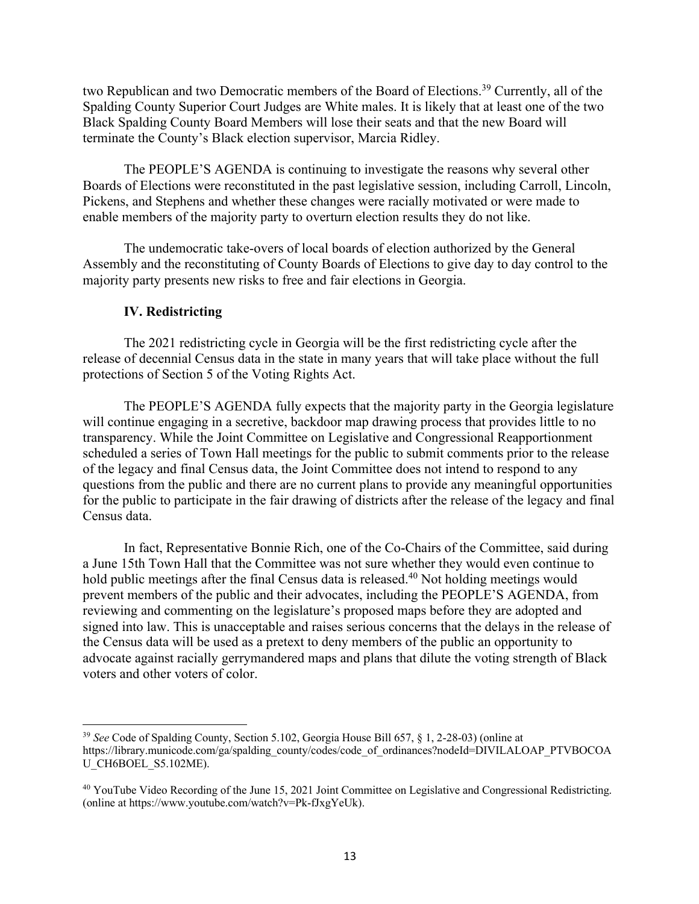two Republican and two Democratic members of the Board of Elections.<sup>39</sup> Currently, all of the Spalding County Superior Court Judges are White males. It is likely that at least one of the two Black Spalding County Board Members will lose their seats and that the new Board will terminate the County's Black election supervisor, Marcia Ridley.

The PEOPLE'S AGENDA is continuing to investigate the reasons why several other Boards of Elections were reconstituted in the past legislative session, including Carroll, Lincoln, Pickens, and Stephens and whether these changes were racially motivated or were made to enable members of the majority party to overturn election results they do not like.

The undemocratic take-overs of local boards of election authorized by the General Assembly and the reconstituting of County Boards of Elections to give day to day control to the majority party presents new risks to free and fair elections in Georgia.

# **IV. Redistricting**

The 2021 redistricting cycle in Georgia will be the first redistricting cycle after the release of decennial Census data in the state in many years that will take place without the full protections of Section 5 of the Voting Rights Act.

The PEOPLE'S AGENDA fully expects that the majority party in the Georgia legislature will continue engaging in a secretive, backdoor map drawing process that provides little to no transparency. While the Joint Committee on Legislative and Congressional Reapportionment scheduled a series of Town Hall meetings for the public to submit comments prior to the release of the legacy and final Census data, the Joint Committee does not intend to respond to any questions from the public and there are no current plans to provide any meaningful opportunities for the public to participate in the fair drawing of districts after the release of the legacy and final Census data.

In fact, Representative Bonnie Rich, one of the Co-Chairs of the Committee, said during a June 15th Town Hall that the Committee was not sure whether they would even continue to hold public meetings after the final Census data is released.<sup>40</sup> Not holding meetings would prevent members of the public and their advocates, including the PEOPLE'S AGENDA, from reviewing and commenting on the legislature's proposed maps before they are adopted and signed into law. This is unacceptable and raises serious concerns that the delays in the release of the Census data will be used as a pretext to deny members of the public an opportunity to advocate against racially gerrymandered maps and plans that dilute the voting strength of Black voters and other voters of color.

<sup>39</sup> *See* Code of Spalding County, Section 5.102, Georgia House Bill 657, § 1, 2-28-03) (online at https://library.municode.com/ga/spalding\_county/codes/code\_of\_ordinances?nodeId=DIVILALOAP\_PTVBOCOA U\_CH6BOEL\_S5.102ME).

<sup>40</sup> YouTube Video Recording of the June 15, 2021 Joint Committee on Legislative and Congressional Redistricting. (online at https://www.youtube.com/watch?v=Pk-fJxgYeUk).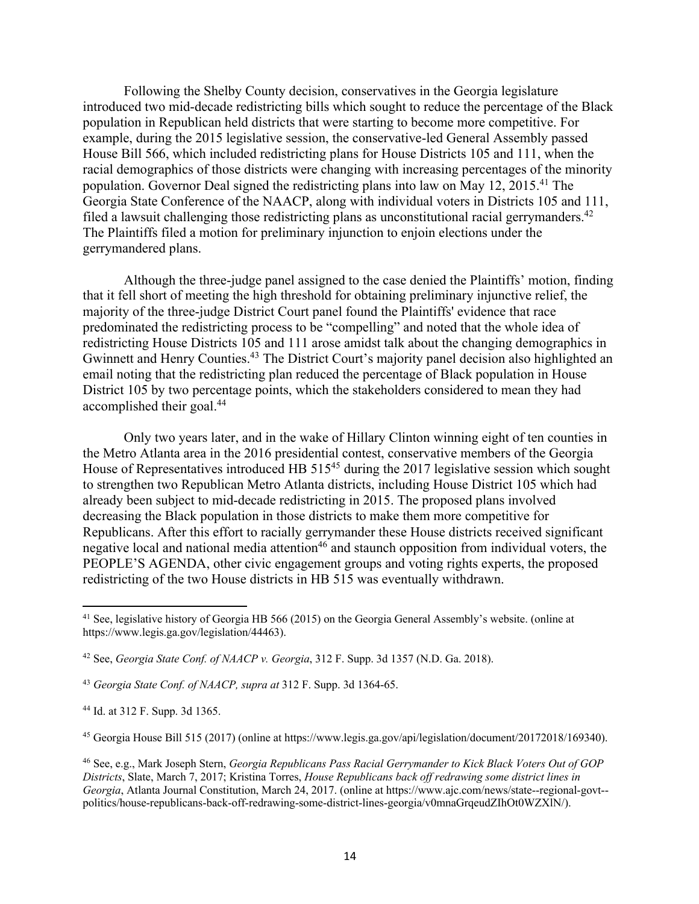Following the Shelby County decision, conservatives in the Georgia legislature introduced two mid-decade redistricting bills which sought to reduce the percentage of the Black population in Republican held districts that were starting to become more competitive. For example, during the 2015 legislative session, the conservative-led General Assembly passed House Bill 566, which included redistricting plans for House Districts 105 and 111, when the racial demographics of those districts were changing with increasing percentages of the minority population. Governor Deal signed the redistricting plans into law on May 12, 2015.41 The Georgia State Conference of the NAACP, along with individual voters in Districts 105 and 111, filed a lawsuit challenging those redistricting plans as unconstitutional racial gerrymanders.<sup>42</sup> The Plaintiffs filed a motion for preliminary injunction to enjoin elections under the gerrymandered plans.

Although the three-judge panel assigned to the case denied the Plaintiffs' motion, finding that it fell short of meeting the high threshold for obtaining preliminary injunctive relief, the majority of the three-judge District Court panel found the Plaintiffs' evidence that race predominated the redistricting process to be "compelling" and noted that the whole idea of redistricting House Districts 105 and 111 arose amidst talk about the changing demographics in Gwinnett and Henry Counties.<sup>43</sup> The District Court's majority panel decision also highlighted an email noting that the redistricting plan reduced the percentage of Black population in House District 105 by two percentage points, which the stakeholders considered to mean they had accomplished their goal.44

Only two years later, and in the wake of Hillary Clinton winning eight of ten counties in the Metro Atlanta area in the 2016 presidential contest, conservative members of the Georgia House of Representatives introduced HB 515<sup>45</sup> during the 2017 legislative session which sought to strengthen two Republican Metro Atlanta districts, including House District 105 which had already been subject to mid-decade redistricting in 2015. The proposed plans involved decreasing the Black population in those districts to make them more competitive for Republicans. After this effort to racially gerrymander these House districts received significant negative local and national media attention<sup>46</sup> and staunch opposition from individual voters, the PEOPLE'S AGENDA, other civic engagement groups and voting rights experts, the proposed redistricting of the two House districts in HB 515 was eventually withdrawn.

<sup>45</sup> Georgia House Bill 515 (2017) (online at https://www.legis.ga.gov/api/legislation/document/20172018/169340).

<sup>&</sup>lt;sup>41</sup> See, legislative history of Georgia HB 566 (2015) on the Georgia General Assembly's website. (online at https://www.legis.ga.gov/legislation/44463).

<sup>42</sup> See, *Georgia State Conf. of NAACP v. Georgia*, 312 F. Supp. 3d 1357 (N.D. Ga. 2018).

<sup>43</sup> *Georgia State Conf. of NAACP, supra at* 312 F. Supp. 3d 1364-65.

<sup>44</sup> Id. at 312 F. Supp. 3d 1365.

<sup>46</sup> See, e.g., Mark Joseph Stern, *Georgia Republicans Pass Racial Gerrymander to Kick Black Voters Out of GOP Districts*, Slate, March 7, 2017; Kristina Torres, *House Republicans back off redrawing some district lines in Georgia*, Atlanta Journal Constitution, March 24, 2017. (online at https://www.ajc.com/news/state--regional-govt- politics/house-republicans-back-off-redrawing-some-district-lines-georgia/v0mnaGrqeudZIhOt0WZXlN/).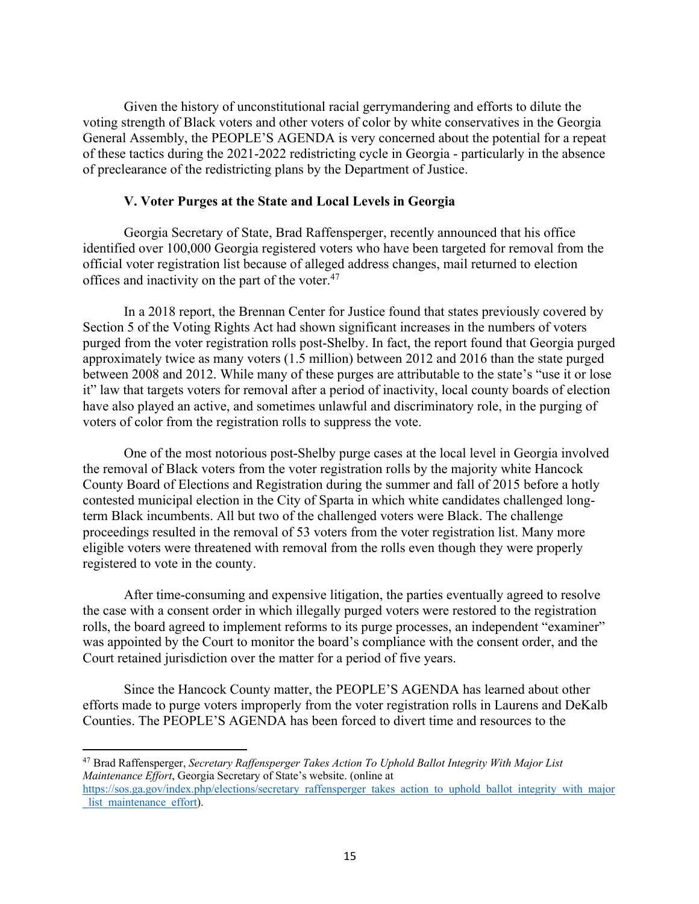Given the history of unconstitutional racial gerrymandering and efforts to dilute the voting strength of Black voters and other voters of color by white conservatives in the Georgia General Assembly, the PEOPLE'S AGENDA is very concerned about the potential for a repeat of these tactics during the 2021-2022 redistricting cycle in Georgia - particularly in the absence of preclearance of the redistricting plans by the Department of Justice.

### **V. Voter Purges at the State and Local Levels in Georgia**

Georgia Secretary of State, Brad Raffensperger, recently announced that his office identified over 100,000 Georgia registered voters who have been targeted for removal from the official voter registration list because of alleged address changes, mail returned to election offices and inactivity on the part of the voter. $47$ 

In a 2018 report, the Brennan Center for Justice found that states previously covered by Section 5 of the Voting Rights Act had shown significant increases in the numbers of voters purged from the voter registration rolls post-Shelby. In fact, the report found that Georgia purged approximately twice as many voters (1.5 million) between 2012 and 2016 than the state purged between 2008 and 2012. While many of these purges are attributable to the state's "use it or lose it" law that targets voters for removal after a period of inactivity, local county boards of election have also played an active, and sometimes unlawful and discriminatory role, in the purging of voters of color from the registration rolls to suppress the vote.

One of the most notorious post-Shelby purge cases at the local level in Georgia involved the removal of Black voters from the voter registration rolls by the majority white Hancock County Board of Elections and Registration during the summer and fall of 2015 before a hotly contested municipal election in the City of Sparta in which white candidates challenged longterm Black incumbents. All but two of the challenged voters were Black. The challenge proceedings resulted in the removal of 53 voters from the voter registration list. Many more eligible voters were threatened with removal from the rolls even though they were properly registered to vote in the county.

After time-consuming and expensive litigation, the parties eventually agreed to resolve the case with a consent order in which illegally purged voters were restored to the registration rolls, the board agreed to implement reforms to its purge processes, an independent "examiner" was appointed by the Court to monitor the board's compliance with the consent order, and the Court retained jurisdiction over the matter for a period of five years.

Since the Hancock County matter, the PEOPLE'S AGENDA has learned about other efforts made to purge voters improperly from the voter registration rolls in Laurens and DeKalb Counties. The PEOPLE'S AGENDA has been forced to divert time and resources to the

<sup>47</sup> Brad Raffensperger, *Secretary Raffensperger Takes Action To Uphold Ballot Integrity With Major List Maintenance Effort*, Georgia Secretary of State's website. (online at https://sos.ga.gov/index.php/elections/secretary\_raffensperger\_takes\_action\_to\_uphold\_ballot\_integrity\_with\_major list maintenance effort).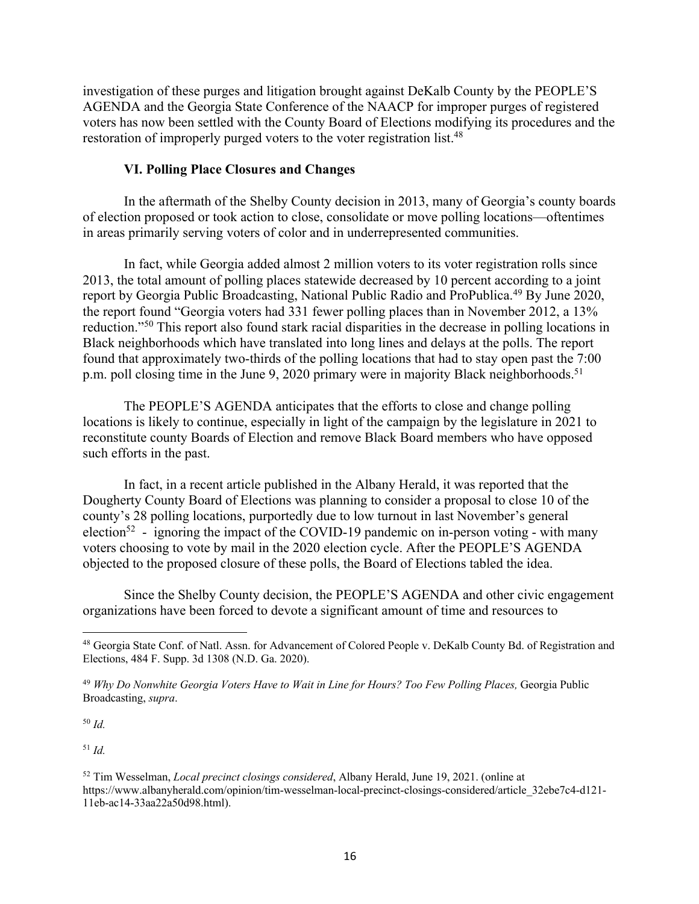investigation of these purges and litigation brought against DeKalb County by the PEOPLE'S AGENDA and the Georgia State Conference of the NAACP for improper purges of registered voters has now been settled with the County Board of Elections modifying its procedures and the restoration of improperly purged voters to the voter registration list.<sup>48</sup>

# **VI. Polling Place Closures and Changes**

In the aftermath of the Shelby County decision in 2013, many of Georgia's county boards of election proposed or took action to close, consolidate or move polling locations—oftentimes in areas primarily serving voters of color and in underrepresented communities.

In fact, while Georgia added almost 2 million voters to its voter registration rolls since 2013, the total amount of polling places statewide decreased by 10 percent according to a joint report by Georgia Public Broadcasting, National Public Radio and ProPublica.<sup>49</sup> By June 2020, the report found "Georgia voters had 331 fewer polling places than in November 2012, a 13% reduction."50 This report also found stark racial disparities in the decrease in polling locations in Black neighborhoods which have translated into long lines and delays at the polls. The report found that approximately two-thirds of the polling locations that had to stay open past the 7:00 p.m. poll closing time in the June 9, 2020 primary were in majority Black neighborhoods.<sup>51</sup>

The PEOPLE'S AGENDA anticipates that the efforts to close and change polling locations is likely to continue, especially in light of the campaign by the legislature in 2021 to reconstitute county Boards of Election and remove Black Board members who have opposed such efforts in the past.

In fact, in a recent article published in the Albany Herald, it was reported that the Dougherty County Board of Elections was planning to consider a proposal to close 10 of the county's 28 polling locations, purportedly due to low turnout in last November's general election<sup>52</sup> - ignoring the impact of the COVID-19 pandemic on in-person voting - with many voters choosing to vote by mail in the 2020 election cycle. After the PEOPLE'S AGENDA objected to the proposed closure of these polls, the Board of Elections tabled the idea.

Since the Shelby County decision, the PEOPLE'S AGENDA and other civic engagement organizations have been forced to devote a significant amount of time and resources to

<sup>50</sup> *Id.*

<sup>&</sup>lt;sup>48</sup> Georgia State Conf. of Natl. Assn. for Advancement of Colored People v. DeKalb County Bd. of Registration and Elections, 484 F. Supp. 3d 1308 (N.D. Ga. 2020).

<sup>&</sup>lt;sup>49</sup> *Why Do Nonwhite Georgia Voters Have to Wait in Line for Hours? Too Few Polling Places, Georgia Public* Broadcasting, *supra*.

<sup>52</sup> Tim Wesselman, *Local precinct closings considered*, Albany Herald, June 19, 2021. (online at https://www.albanyherald.com/opinion/tim-wesselman-local-precinct-closings-considered/article\_32ebe7c4-d121- 11eb-ac14-33aa22a50d98.html).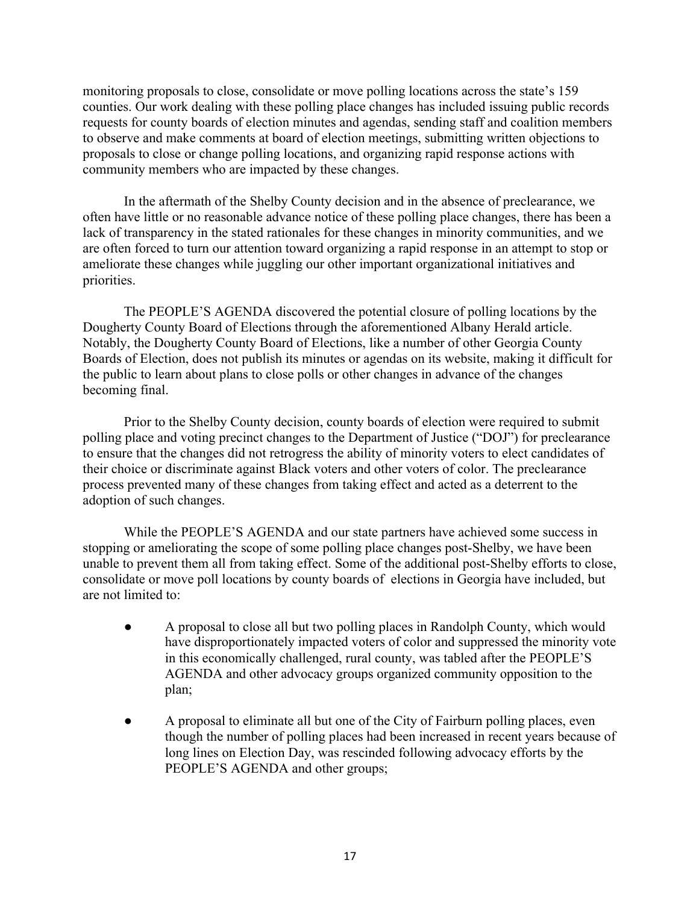monitoring proposals to close, consolidate or move polling locations across the state's 159 counties. Our work dealing with these polling place changes has included issuing public records requests for county boards of election minutes and agendas, sending staff and coalition members to observe and make comments at board of election meetings, submitting written objections to proposals to close or change polling locations, and organizing rapid response actions with community members who are impacted by these changes.

In the aftermath of the Shelby County decision and in the absence of preclearance, we often have little or no reasonable advance notice of these polling place changes, there has been a lack of transparency in the stated rationales for these changes in minority communities, and we are often forced to turn our attention toward organizing a rapid response in an attempt to stop or ameliorate these changes while juggling our other important organizational initiatives and priorities.

The PEOPLE'S AGENDA discovered the potential closure of polling locations by the Dougherty County Board of Elections through the aforementioned Albany Herald article. Notably, the Dougherty County Board of Elections, like a number of other Georgia County Boards of Election, does not publish its minutes or agendas on its website, making it difficult for the public to learn about plans to close polls or other changes in advance of the changes becoming final.

Prior to the Shelby County decision, county boards of election were required to submit polling place and voting precinct changes to the Department of Justice ("DOJ") for preclearance to ensure that the changes did not retrogress the ability of minority voters to elect candidates of their choice or discriminate against Black voters and other voters of color. The preclearance process prevented many of these changes from taking effect and acted as a deterrent to the adoption of such changes.

While the PEOPLE'S AGENDA and our state partners have achieved some success in stopping or ameliorating the scope of some polling place changes post-Shelby, we have been unable to prevent them all from taking effect. Some of the additional post-Shelby efforts to close, consolidate or move poll locations by county boards of elections in Georgia have included, but are not limited to:

- A proposal to close all but two polling places in Randolph County, which would have disproportionately impacted voters of color and suppressed the minority vote in this economically challenged, rural county, was tabled after the PEOPLE'S AGENDA and other advocacy groups organized community opposition to the plan;
- A proposal to eliminate all but one of the City of Fairburn polling places, even though the number of polling places had been increased in recent years because of long lines on Election Day, was rescinded following advocacy efforts by the PEOPLE'S AGENDA and other groups;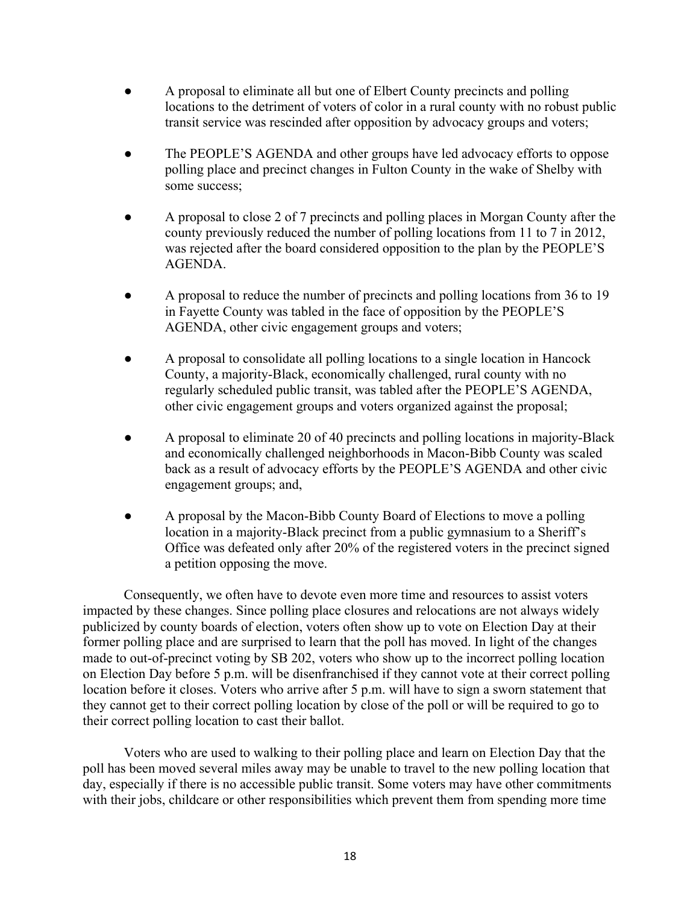- A proposal to eliminate all but one of Elbert County precincts and polling locations to the detriment of voters of color in a rural county with no robust public transit service was rescinded after opposition by advocacy groups and voters;
- The PEOPLE'S AGENDA and other groups have led advocacy efforts to oppose polling place and precinct changes in Fulton County in the wake of Shelby with some success;
- A proposal to close 2 of 7 precincts and polling places in Morgan County after the county previously reduced the number of polling locations from 11 to 7 in 2012, was rejected after the board considered opposition to the plan by the PEOPLE'S AGENDA.
- A proposal to reduce the number of precincts and polling locations from 36 to 19 in Fayette County was tabled in the face of opposition by the PEOPLE'S AGENDA, other civic engagement groups and voters;
- A proposal to consolidate all polling locations to a single location in Hancock County, a majority-Black, economically challenged, rural county with no regularly scheduled public transit, was tabled after the PEOPLE'S AGENDA, other civic engagement groups and voters organized against the proposal;
- A proposal to eliminate 20 of 40 precincts and polling locations in majority-Black and economically challenged neighborhoods in Macon-Bibb County was scaled back as a result of advocacy efforts by the PEOPLE'S AGENDA and other civic engagement groups; and,
- A proposal by the Macon-Bibb County Board of Elections to move a polling location in a majority-Black precinct from a public gymnasium to a Sheriff's Office was defeated only after 20% of the registered voters in the precinct signed a petition opposing the move.

Consequently, we often have to devote even more time and resources to assist voters impacted by these changes. Since polling place closures and relocations are not always widely publicized by county boards of election, voters often show up to vote on Election Day at their former polling place and are surprised to learn that the poll has moved. In light of the changes made to out-of-precinct voting by SB 202, voters who show up to the incorrect polling location on Election Day before 5 p.m. will be disenfranchised if they cannot vote at their correct polling location before it closes. Voters who arrive after 5 p.m. will have to sign a sworn statement that they cannot get to their correct polling location by close of the poll or will be required to go to their correct polling location to cast their ballot.

Voters who are used to walking to their polling place and learn on Election Day that the poll has been moved several miles away may be unable to travel to the new polling location that day, especially if there is no accessible public transit. Some voters may have other commitments with their jobs, childcare or other responsibilities which prevent them from spending more time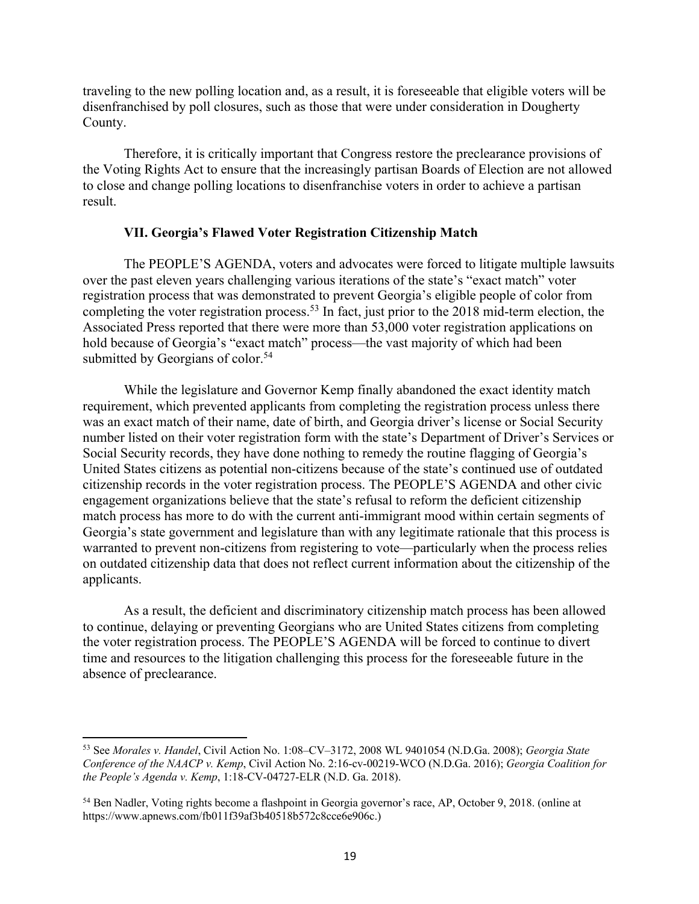traveling to the new polling location and, as a result, it is foreseeable that eligible voters will be disenfranchised by poll closures, such as those that were under consideration in Dougherty County.

Therefore, it is critically important that Congress restore the preclearance provisions of the Voting Rights Act to ensure that the increasingly partisan Boards of Election are not allowed to close and change polling locations to disenfranchise voters in order to achieve a partisan result.

# **VII. Georgia's Flawed Voter Registration Citizenship Match**

The PEOPLE'S AGENDA, voters and advocates were forced to litigate multiple lawsuits over the past eleven years challenging various iterations of the state's "exact match" voter registration process that was demonstrated to prevent Georgia's eligible people of color from completing the voter registration process.<sup>53</sup> In fact, just prior to the 2018 mid-term election, the Associated Press reported that there were more than 53,000 voter registration applications on hold because of Georgia's "exact match" process—the vast majority of which had been submitted by Georgians of color.<sup>54</sup>

While the legislature and Governor Kemp finally abandoned the exact identity match requirement, which prevented applicants from completing the registration process unless there was an exact match of their name, date of birth, and Georgia driver's license or Social Security number listed on their voter registration form with the state's Department of Driver's Services or Social Security records, they have done nothing to remedy the routine flagging of Georgia's United States citizens as potential non-citizens because of the state's continued use of outdated citizenship records in the voter registration process. The PEOPLE'S AGENDA and other civic engagement organizations believe that the state's refusal to reform the deficient citizenship match process has more to do with the current anti-immigrant mood within certain segments of Georgia's state government and legislature than with any legitimate rationale that this process is warranted to prevent non-citizens from registering to vote—particularly when the process relies on outdated citizenship data that does not reflect current information about the citizenship of the applicants.

As a result, the deficient and discriminatory citizenship match process has been allowed to continue, delaying or preventing Georgians who are United States citizens from completing the voter registration process. The PEOPLE'S AGENDA will be forced to continue to divert time and resources to the litigation challenging this process for the foreseeable future in the absence of preclearance.

<sup>53</sup> See *Morales v. Handel*, Civil Action No. 1:08–CV–3172, 2008 WL 9401054 (N.D.Ga. 2008); *Georgia State Conference of the NAACP v. Kemp*, Civil Action No. 2:16-cv-00219-WCO (N.D.Ga. 2016); *Georgia Coalition for the People's Agenda v. Kemp*, 1:18-CV-04727-ELR (N.D. Ga. 2018).

<sup>54</sup> Ben Nadler, Voting rights become a flashpoint in Georgia governor's race, AP, October 9, 2018. (online at https://www.apnews.com/fb011f39af3b40518b572c8cce6e906c.)